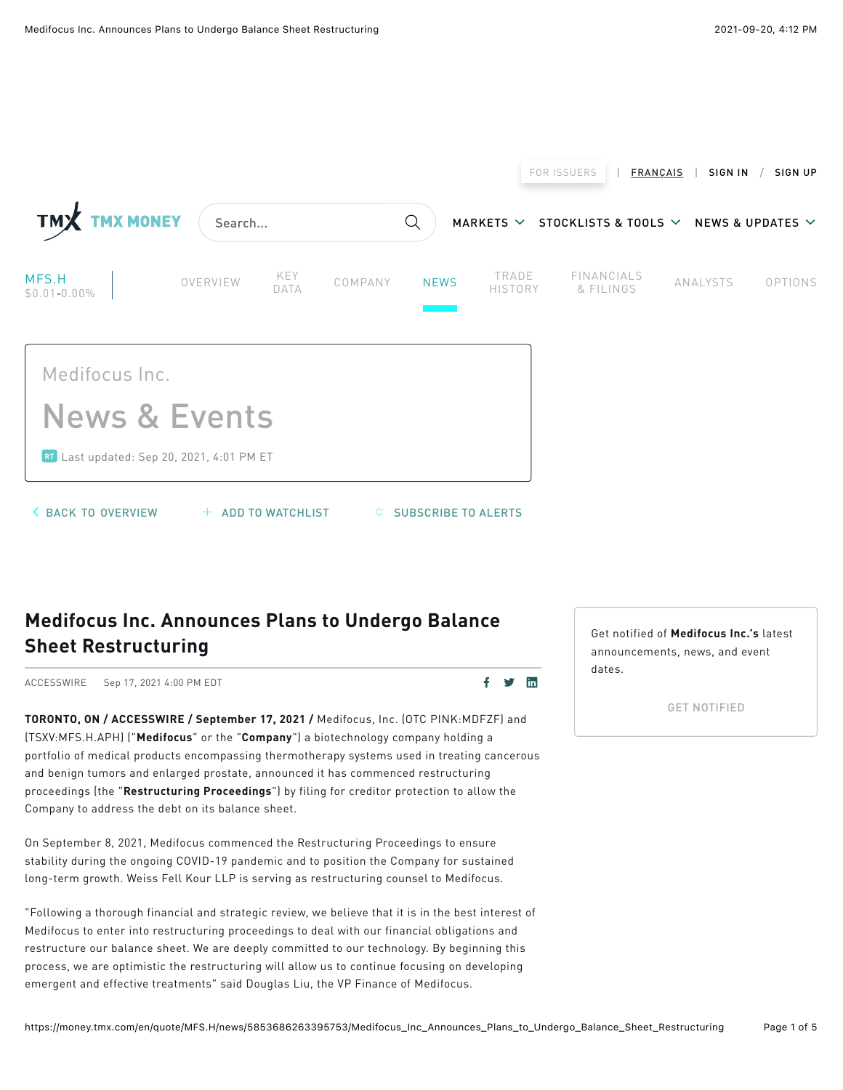

## Medifocus Inc. Announces Plans to Undergo Balance **Sheet Restructuring**

ACCESSWIRE Sep 17, 2021 4:00 PM EDT

 $f \circ f$  in

TORONTO, ON / ACCESSWIRE / September 17, 2021 / Medifocus, Inc. (OTC PINK:MDFZF) and (TSXV:MFS.H.APH) ("Medifocus" or the "Company") a biotechnology company holding a portfolio of medical products encompassing thermotherapy systems used in treating cancerous and benign tumors and enlarged prostate, announced it has commenced restructuring proceedings (the "Restructuring Proceedings") by filing for creditor protection to allow the Company to address the debt on its balance sheet.

On September 8, 2021, Medifocus commenced the Restructuring Proceedings to ensure stability during the ongoing COVID-19 pandemic and to position the Company for sustained long-term growth. Weiss Fell Kour LLP is serving as restructuring counsel to Medifocus.

"Following a thorough financial and strategic review, we believe that it is in the best interest of Medifocus to enter into restructuring proceedings to deal with our financial obligations and restructure our balance sheet. We are deeply committed to our technology. By beginning this process, we are optimistic the restructuring will allow us to continue focusing on developing emergent and effective treatments" said Douglas Liu, the VP Finance of Medifocus.

Get notified of Medifocus Inc.'s latest announcements, news, and event  $A$ 

GET NOTIFIED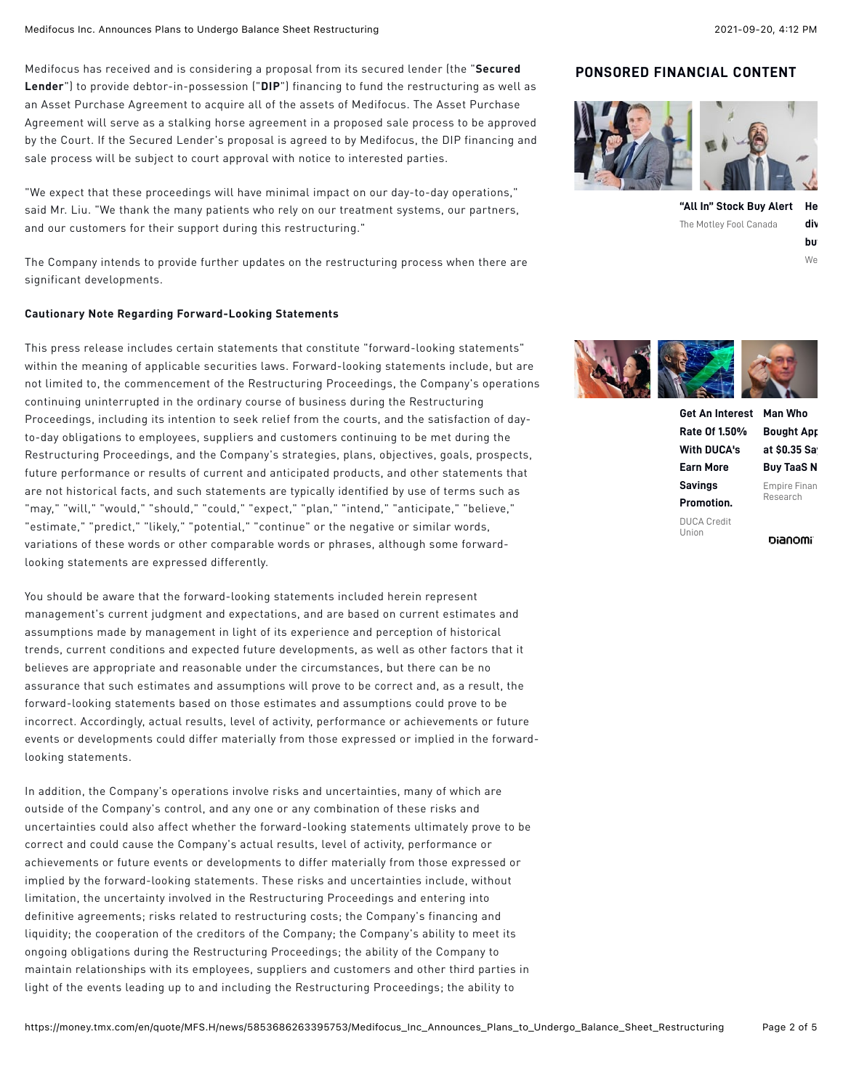Medifocus has received and is considering a proposal from its secured lender (the "Secured Lender") to provide debtor-in-possession ("DIP") financing to fund the restructuring as well as an Asset Purchase Agreement to acquire all of the assets of Medifocus. The Asset Purchase Agreement will serve as a stalking horse agreement in a proposed sale process to be approved by the Court. If the Secured Lender's proposal is agreed to by Medifocus, the DIP financing and sale process will be subject to court approval with notice to interested parties.

"We expect that these proceedings will have minimal impact on our day-to-day operations," said Mr. Liu. "We thank the many patients who rely on our treatment systems, our partners, and our customers for their support during this restructuring."

The Company intends to provide further updates on the restructuring process when there are significant developments.

### **Cautionary Note Regarding Forward-Looking Statements**

This press release includes certain statements that constitute "forward-looking statements" within the meaning of applicable securities laws. Forward-looking statements include, but are not limited to, the commencement of the Restructuring Proceedings, the Company's operations continuing uninterrupted in the ordinary course of business during the Restructuring Proceedings, including its intention to seek relief from the courts, and the satisfaction of dayto-day obligations to employees, suppliers and customers continuing to be met during the Restructuring Proceedings, and the Company's strategies, plans, objectives, goals, prospects, future performance or results of current and anticipated products, and other statements that are not historical facts, and such statements are typically identified by use of terms such as "may," "will," "would," "should," "could," "expect," "plan," "intend," "anticipate," "believe," "estimate," "predict," "likely," "potential," "continue" or the negative or similar words, variations of these words or other comparable words or phrases, although some forwardlooking statements are expressed differently.

You should be aware that the forward-looking statements included herein represent management's current judgment and expectations, and are based on current estimates and assumptions made by management in light of its experience and perception of historical trends, current conditions and expected future developments, as well as other factors that it believes are appropriate and reasonable under the circumstances, but there can be no assurance that such estimates and assumptions will prove to be correct and, as a result, the forward-looking statements based on those estimates and assumptions could prove to be incorrect. Accordingly, actual results, level of activity, performance or achievements or future events or developments could differ materially from those expressed or implied in the forwardlooking statements.

In addition, the Company's operations involve risks and uncertainties, many of which are outside of the Company's control, and any one or any combination of these risks and uncertainties could also affect whether the forward-looking statements ultimately prove to be correct and could cause the Company's actual results, level of activity, performance or achievements or future events or developments to differ materially from those expressed or implied by the forward-looking statements. These risks and uncertainties include, without limitation, the uncertainty involved in the Restructuring Proceedings and entering into definitive agreements; risks related to restructuring costs; the Company's financing and liquidity; the cooperation of the creditors of the Company; the Company's ability to meet its ongoing obligations during the Restructuring Proceedings; the ability of the Company to maintain relationships with its employees, suppliers and customers and other third parties in light of the events leading up to and including the Restructuring Proceedings; the ability to

### **PONSORED FINANCIAL CONTENT**



**["All In" Stock Buy Alert](https://www.dianomi.com/click.epl?pn=65827&offer=15686504&savid=223339&said=6322&adv=8553&cf=1604.238.TMX3&unique_id=YUjosQcaWSf1IzUWta5E6wAAABA&smartreferer=https%3A%2F%2Fmoney.tmx.com%2Fen%2Fquote%2FMFS.H%2Fnews%2F5853686263395753%2FMedifocus_Inc_Announces_Plans_to_Undergo_Balance_Sheet_Restructuring)** The Motley Fool Canada **Here are the top 6 div buy and hold forever.**

 $W$ e



**[Get An Interest](https://www.dianomi.com/click.epl?pn=87642&offer=19291598&savid=227320&said=6322&adv=8553&cf=1604.238.TMX3&unique_id=YUjosQcaWSf1IzUWta5E6wAAABA&smartreferer=https%3A%2F%2Fmoney.tmx.com%2Fen%2Fquote%2FMFS.H%2Fnews%2F5853686263395753%2FMedifocus_Inc_Announces_Plans_to_Undergo_Balance_Sheet_Restructuring) Man Who Rate Of 1.50% With DUCA's Earn More Savings Promotion.** DUCA Credit Union **[Bought App](https://www.dianomi.com/click.epl?pn=87186&offer=19178842&savid=226032&said=6322&adv=8553&cf=1604.238.TMX3&unique_id=YUjosQcaWSf1IzUWta5E6wAAABA&smartreferer=https%3A%2F%2Fmoney.tmx.com%2Fen%2Fquote%2FMFS.H%2Fnews%2F5853686263395753%2FMedifocus_Inc_Announces_Plans_to_Undergo_Balance_Sheet_Restructuring) at \$0.35 Says Buy TaaS N** Empire Finan Research

bianomi<sup>-</sup>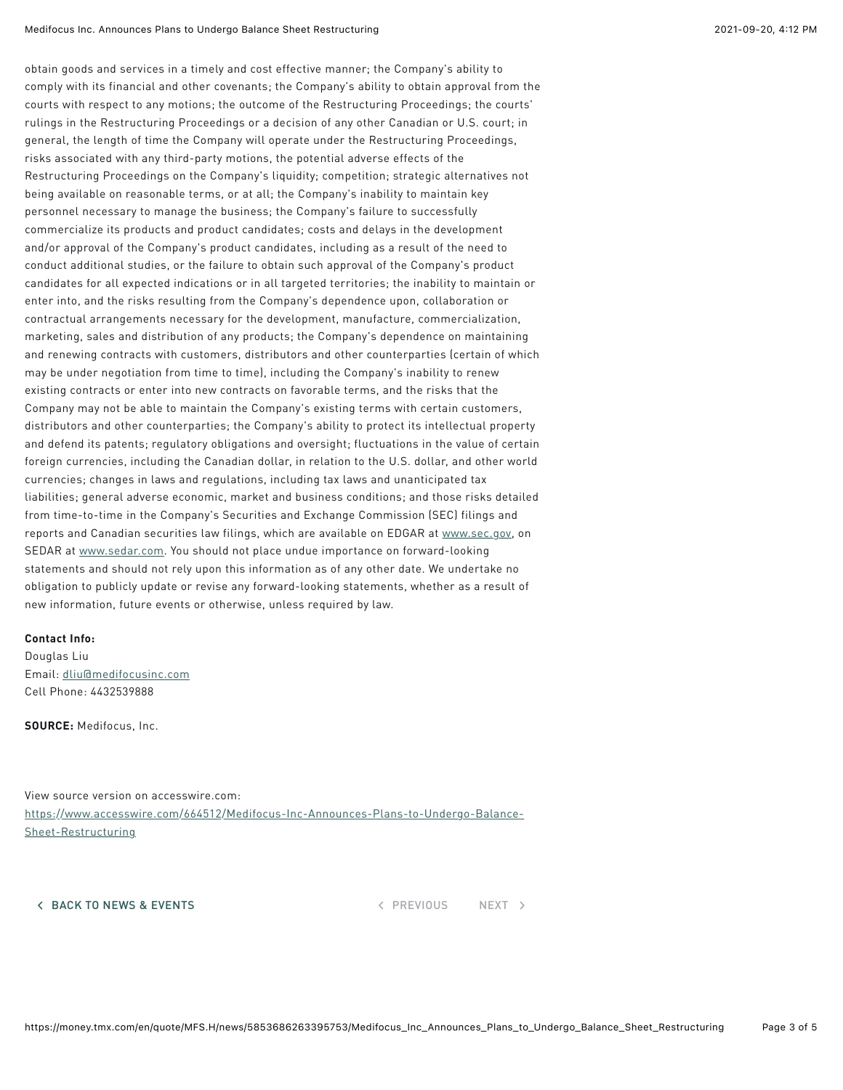obtain goods and services in a timely and cost effective manner; the Company's ability to comply with its financial and other covenants; the Company's ability to obtain approval from the courts with respect to any motions; the outcome of the Restructuring Proceedings; the courts' rulings in the Restructuring Proceedings or a decision of any other Canadian or U.S. court; in general, the length of time the Company will operate under the Restructuring Proceedings, risks associated with any third-party motions, the potential adverse effects of the Restructuring Proceedings on the Company's liquidity; competition; strategic alternatives not being available on reasonable terms, or at all; the Company's inability to maintain key personnel necessary to manage the business; the Company's failure to successfully commercialize its products and product candidates; costs and delays in the development and/or approval of the Company's product candidates, including as a result of the need to conduct additional studies, or the failure to obtain such approval of the Company's product candidates for all expected indications or in all targeted territories; the inability to maintain or enter into, and the risks resulting from the Company's dependence upon, collaboration or contractual arrangements necessary for the development, manufacture, commercialization, marketing, sales and distribution of any products; the Company's dependence on maintaining and renewing contracts with customers, distributors and other counterparties (certain of which may be under negotiation from time to time), including the Company's inability to renew existing contracts or enter into new contracts on favorable terms, and the risks that the Company may not be able to maintain the Company's existing terms with certain customers, distributors and other counterparties; the Company's ability to protect its intellectual property and defend its patents; requlatory obligations and oversight; fluctuations in the value of certain foreign currencies, including the Canadian dollar, in relation to the U.S. dollar, and other world currencies; changes in laws and regulations, including tax laws and unanticipated tax liabilities; general adverse economic, market and business conditions; and those risks detailed from time-to-time in the Company's Securities and Exchange Commission (SEC) filings and reports and Canadian securities law filings, which are available on EDGAR at www.sec.gov, on SEDAR at www.sedar.com. You should not place undue importance on forward-looking statements and should not rely upon this information as of any other date. We undertake no obligation to publicly update or revise any forward-looking statements, whether as a result of new information, future events or otherwise, unless required by law.

### Contact Info:

Douglas Liu Email: dliu@medifocusinc.com Cell Phone: 4432539888

SOURCE: Medifocus, Inc.

View source version on accesswire.com: https://www.accesswire.com/664512/Medifocus-Inc-Announces-Plans-to-Undergo-Balance-Sheet-Restructuring

4 BACK TO NEWS & EVENTS And the set of the set of the set of the set of the set of the set of the set of the set of the set of the set of the set of the set of the set of the set of the set of the set of the set of the set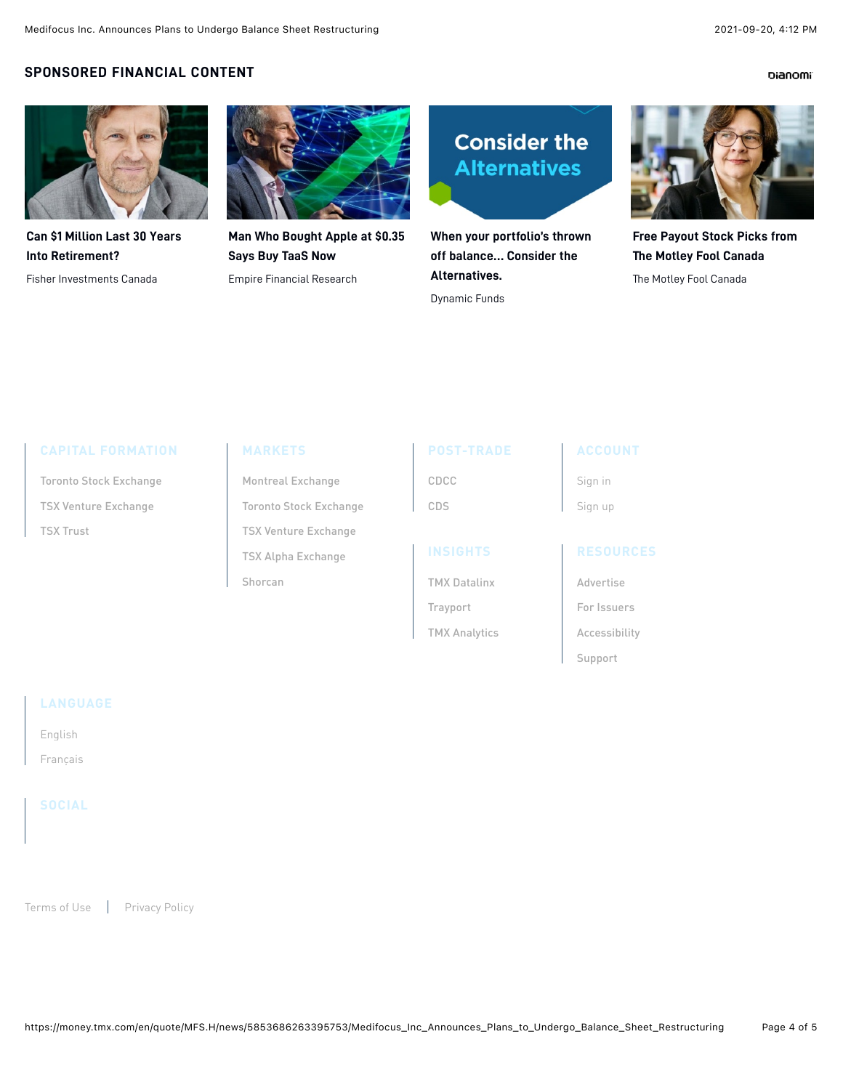### **Dianomi**

## **SPONSORED FINANCIAL CONTENT**



**[Can \\$1 Million Last 30 Years](https://www.dianomi.com/click.epl?pn=86431&offer=19051286&savid=223978&said=6323&adv=8554&cf=1604.237.TMX2&unique_id=YUjosb-LnbTi5F6pxUWezwAAAAU&smartreferer=https%3A%2F%2Fmoney.tmx.com%2Fen%2Fquote%2FMFS.H%2Fnews%2F5853686263395753%2FMedifocus_Inc_Announces_Plans_to_Undergo_Balance_Sheet_Restructuring) Into Retirement?**

Fisher Investments Canada



**[Man Who Bought Apple at \\$0.35](https://www.dianomi.com/click.epl?pn=86998&offer=19145340&savid=226622&said=6323&adv=8554&cf=1604.237.TMX2&unique_id=YUjosb-LnbTi5F6pxUWezwAAAAU&smartreferer=https%3A%2F%2Fmoney.tmx.com%2Fen%2Fquote%2FMFS.H%2Fnews%2F5853686263395753%2FMedifocus_Inc_Announces_Plans_to_Undergo_Balance_Sheet_Restructuring) Says Buy TaaS Now** Empire Financial Research



**[When your portfolio's thrown](https://www.dianomi.com/click.epl?pn=88122&offer=19371283&savid=228275&said=6323&adv=8554&cf=1604.237.TMX2&unique_id=YUjosb-LnbTi5F6pxUWezwAAAAU&smartreferer=https%3A%2F%2Fmoney.tmx.com%2Fen%2Fquote%2FMFS.H%2Fnews%2F5853686263395753%2FMedifocus_Inc_Announces_Plans_to_Undergo_Balance_Sheet_Restructuring) off balance… Consider the Alternatives.**

Dynamic Funds



**[Free Payout Stock Picks from](https://www.dianomi.com/click.epl?pn=87480&offer=19228241&savid=226630&said=6323&adv=8554&cf=1604.237.TMX2&unique_id=YUjosb-LnbTi5F6pxUWezwAAAAU&smartreferer=https%3A%2F%2Fmoney.tmx.com%2Fen%2Fquote%2FMFS.H%2Fnews%2F5853686263395753%2FMedifocus_Inc_Announces_Plans_to_Undergo_Balance_Sheet_Restructuring) The Motley Fool Canada**

The Motley Fool Canada

| Toronto Stock Exchange      |
|-----------------------------|
| <b>TSX Venture Exchange</b> |
| TSX Trust                   |

### MARKETS

Montreal Exchange Toronto Stock Exchange TSX Venture Exchange TSX Alpha Exchange Shorcan

| POST-TRADI |  |
|------------|--|
| CDCC       |  |
| CDS        |  |

**INSIGHTS** 

Trayport

# **ACCOUNT**

Sign in Sign up

TMX Datalinx TMX Analytics Advertise For Issuers Accessibility

Support

English

Francais

Terms of Use | Privacy Policy